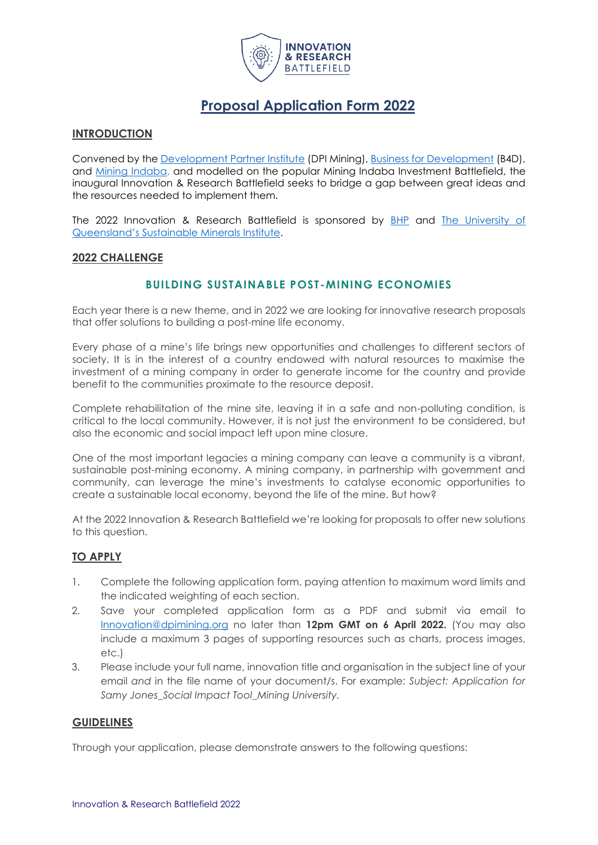

# **Proposal Application Form 2022**

## **INTRODUCTION**

Convened by the [Development Partner Institute](https://www.dpimining.org/) (DPI Mining), [Business for Development](https://businessfordevelopment.org/) (B4D), and [Mining Indaba,](https://miningindaba.com/Home) and modelled on the popular Mining Indaba Investment Battlefield, the inaugural Innovation & Research Battlefield seeks to bridge a gap between great ideas and the resources needed to implement them.

The 2022 Innovation & Research Battlefield is sponsored by [BHP](https://www.bhp.com/) and [The University of](https://smi.uq.edu.au/)  [Queensland's Sustainable Minerals Institute](https://smi.uq.edu.au/).

## **2022 CHALLENGE**

# **BUILDING SUSTAINABLE POST -MINING ECONOMIES**

Each year there is a new theme, and in 2022 we are looking for innovative research proposals that offer solutions to building a post-mine life economy.

Every phase of a mine's life brings new opportunities and challenges to different sectors of society. It is in the interest of a country endowed with natural resources to maximise the investment of a mining company in order to generate income for the country and provide benefit to the communities proximate to the resource deposit.

Complete rehabilitation of the mine site, leaving it in a safe and non-polluting condition, is critical to the local community. However, it is not just the environment to be considered, but also the economic and social impact left upon mine closure.

One of the most important legacies a mining company can leave a community is a vibrant, sustainable post-mining economy. A mining company, in partnership with government and community, can leverage the mine's investments to catalyse economic opportunities to create a sustainable local economy, beyond the life of the mine. But how?

At the 2022 Innovation & Research Battlefield we're looking for proposals to offer new solutions to this question.

## **TO APPLY**

- 1. Complete the following application form, paying attention to maximum word limits and the indicated weighting of each section.
- 2. Save your completed application form as a PDF and submit via email to [Innovation@dpimining.org](mailto:innovation@dpimining.org) no later than **12pm GMT on 6 April 2022.** (You may also include a maximum 3 pages of supporting resources such as charts, process images, etc.)
- 3. Please include your full name, innovation title and organisation in the subject line of your email *and* in the file name of your document/s. For example: *Subject: Application for Samy Jones\_Social Impact Tool\_Mining University.*

## **GUIDELINES**

Through your application, please demonstrate answers to the following questions: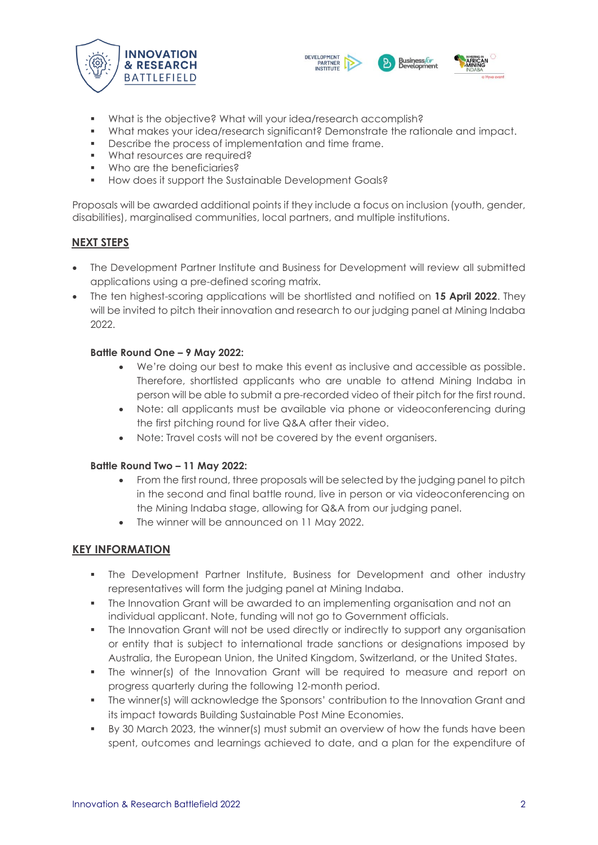



- What is the objective? What will your idea/research accomplish?
- What makes your idea/research significant? Demonstrate the rationale and impact.
- Describe the process of implementation and time frame.
- **What resources are required?**
- Who are the beneficiaries?
- **■** How does it support the Sustainable Development Goals?

Proposals will be awarded additional points if they include a focus on inclusion (youth, gender, disabilities), marginalised communities, local partners, and multiple institutions.

## **NEXT STEPS**

- The Development Partner Institute and Business for Development will review all submitted applications using a pre-defined scoring matrix.
- The ten highest-scoring applications will be shortlisted and notified on **15 April 2022**. They will be invited to pitch their innovation and research to our judging panel at Mining Indaba 2022.

#### **Battle Round One – 9 May 2022:**

- We're doing our best to make this event as inclusive and accessible as possible. Therefore, shortlisted applicants who are unable to attend Mining Indaba in person will be able to submit a pre-recorded video of their pitch for the first round.
- Note: all applicants must be available via phone or videoconferencing during the first pitching round for live Q&A after their video.
- Note: Travel costs will not be covered by the event organisers.

## **Battle Round Two – 11 May 2022:**

- From the first round, three proposals will be selected by the judging panel to pitch in the second and final battle round, live in person or via videoconferencing on the Mining Indaba stage, allowing for Q&A from our judging panel.
- The winner will be announced on 11 May 2022.

## **KEY INFORMATION**

- **•** The Development Partner Institute, Business for Development and other industry representatives will form the judging panel at Mining Indaba.
- The Innovation Grant will be awarded to an implementing organisation and not an individual applicant. Note, funding will not go to Government officials.
- The Innovation Grant will not be used directly or indirectly to support any organisation or entity that is subject to international trade sanctions or designations imposed by Australia, the European Union, the United Kingdom, Switzerland, or the United States.
- The winner(s) of the Innovation Grant will be required to measure and report on progress quarterly during the following 12-month period.
- **•** The winner(s) will acknowledge the Sponsors' contribution to the Innovation Grant and its impact towards Building Sustainable Post Mine Economies.
- By 30 March 2023, the winner(s) must submit an overview of how the funds have been spent, outcomes and learnings achieved to date, and a plan for the expenditure of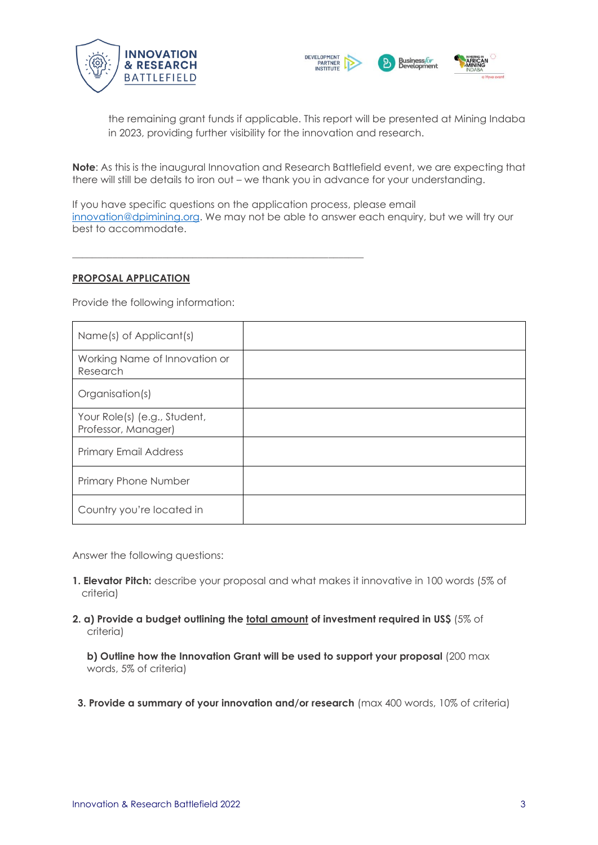



the remaining grant funds if applicable. This report will be presented at Mining Indaba in 2023, providing further visibility for the innovation and research.

**Note**: As this is the inaugural Innovation and Research Battlefield event, we are expecting that there will still be details to iron out – we thank you in advance for your understanding.

If you have specific questions on the application process, please email [innovation@dpimining.org.](mailto:innovation@dpimining.org) We may not be able to answer each enquiry, but we will try our best to accommodate.

#### **PROPOSAL APPLICATION**

Provide the following information:

 $\_$  , and the set of the set of the set of the set of the set of the set of the set of the set of the set of the set of the set of the set of the set of the set of the set of the set of the set of the set of the set of th

| Name(s) of Applicant(s)                             |  |
|-----------------------------------------------------|--|
| Working Name of Innovation or<br>Research           |  |
| Organisation(s)                                     |  |
| Your Role(s) (e.g., Student,<br>Professor, Manager) |  |
| <b>Primary Email Address</b>                        |  |
| Primary Phone Number                                |  |
| Country you're located in                           |  |

Answer the following questions:

- **1. Elevator Pitch:** describe your proposal and what makes it innovative in 100 words (5% of criteria)
- **2. a) Provide a budget outlining the total amount of investment required in US\$** (5% of criteria)

**b) Outline how the Innovation Grant will be used to support your proposal** (200 max words, 5% of criteria)

**3. Provide a summary of your innovation and/or research** (max 400 words, 10% of criteria)